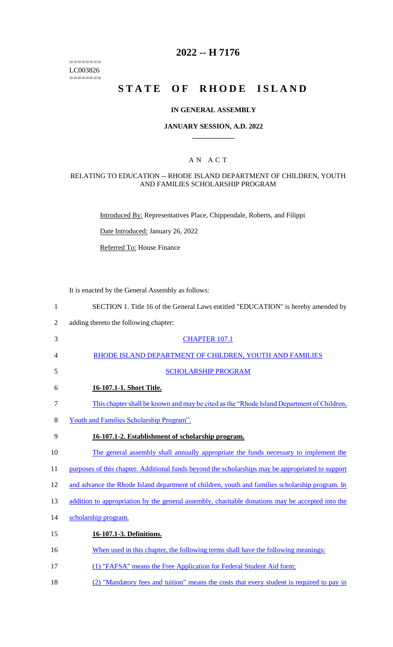======== LC003826  $=$ 

# **2022 -- H 7176**

# **STATE OF RHODE ISLAND**

## **IN GENERAL ASSEMBLY**

## **JANUARY SESSION, A.D. 2022 \_\_\_\_\_\_\_\_\_\_\_\_**

## A N A C T

#### RELATING TO EDUCATION -- RHODE ISLAND DEPARTMENT OF CHILDREN, YOUTH AND FAMILIES SCHOLARSHIP PROGRAM

Introduced By: Representatives Place, Chippendale, Roberts, and Filippi

Date Introduced: January 26, 2022

Referred To: House Finance

It is enacted by the General Assembly as follows:

| $\mathbf{1}$   | SECTION 1. Title 16 of the General Laws entitled "EDUCATION" is hereby amended by                 |
|----------------|---------------------------------------------------------------------------------------------------|
| $\overline{2}$ | adding thereto the following chapter:                                                             |
| 3              | <b>CHAPTER 107.1</b>                                                                              |
| 4              | RHODE ISLAND DEPARTMENT OF CHILDREN, YOUTH AND FAMILIES                                           |
| 5              | <b>SCHOLARSHIP PROGRAM</b>                                                                        |
| 6              | 16-107.1-1. Short Title.                                                                          |
| $\tau$         | This chapter shall be known and may be cited as the "Rhode Island Department of Children,         |
| 8              | Youth and Families Scholarship Program".                                                          |
| 9              | 16-107.1-2. Establishment of scholarship program.                                                 |
| 10             | The general assembly shall annually appropriate the funds necessary to implement the              |
| 11             | purposes of this chapter. Additional funds beyond the scholarships may be appropriated to support |
| 12             | and advance the Rhode Island department of children, youth and families scholarship program. In   |
| 13             | addition to appropriation by the general assembly, charitable donations may be accepted into the  |
| 14             | scholarship program.                                                                              |
| 15             | 16-107.1-3. Definitions.                                                                          |
| 16             | When used in this chapter, the following terms shall have the following meanings:                 |
| 17             | (1) "FAFSA" means the Free Application for Federal Student Aid form;                              |
| 18             | (2) "Mandatory fees and tuition" means the costs that every student is required to pay in         |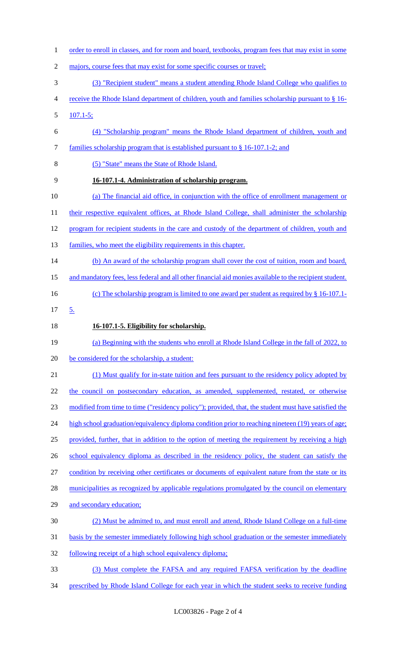- order to enroll in classes, and for room and board, textbooks, program fees that may exist in some 2 majors, course fees that may exist for some specific courses or travel; (3) "Recipient student" means a student attending Rhode Island College who qualifies to receive the Rhode Island department of children, youth and families scholarship pursuant to § 16- 107.1-5; (4) "Scholarship program" means the Rhode Island department of children, youth and families scholarship program that is established pursuant to § 16-107.1-2; and (5) "State" means the State of Rhode Island. **16-107.1-4. Administration of scholarship program.**  (a) The financial aid office, in conjunction with the office of enrollment management or 11 their respective equivalent offices, at Rhode Island College, shall administer the scholarship 12 program for recipient students in the care and custody of the department of children, youth and 13 families, who meet the eligibility requirements in this chapter. (b) An award of the scholarship program shall cover the cost of tuition, room and board, and mandatory fees, less federal and all other financial aid monies available to the recipient student. 16 (c) The scholarship program is limited to one award per student as required by § 16-107.1- 5. **16-107.1-5. Eligibility for scholarship.**  (a) Beginning with the students who enroll at Rhode Island College in the fall of 2022, to 20 be considered for the scholarship, a student: 21 (1) Must qualify for in-state tuition and fees pursuant to the residency policy adopted by the council on postsecondary education, as amended, supplemented, restated, or otherwise modified from time to time ("residency policy"); provided, that, the student must have satisfied the 24 high school graduation/equivalency diploma condition prior to reaching nineteen (19) years of age; provided, further, that in addition to the option of meeting the requirement by receiving a high school equivalency diploma as described in the residency policy, the student can satisfy the condition by receiving other certificates or documents of equivalent nature from the state or its 28 municipalities as recognized by applicable regulations promulgated by the council on elementary and secondary education; (2) Must be admitted to, and must enroll and attend, Rhode Island College on a full-time basis by the semester immediately following high school graduation or the semester immediately following receipt of a high school equivalency diploma; (3) Must complete the FAFSA and any required FAFSA verification by the deadline
- 34 prescribed by Rhode Island College for each year in which the student seeks to receive funding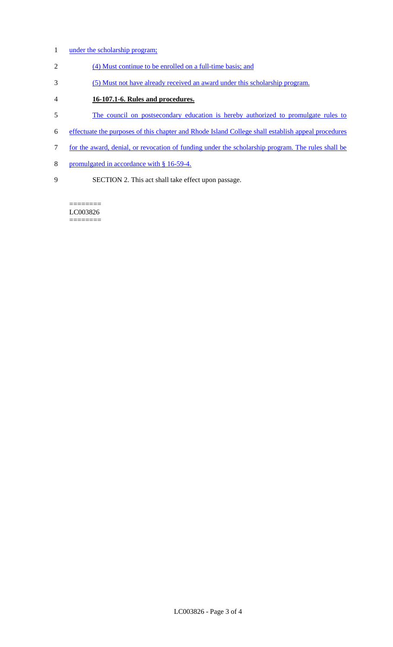- 1 under the scholarship program;
- 2 (4) Must continue to be enrolled on a full-time basis; and
- 3 (5) Must not have already received an award under this scholarship program.
- 4 **16-107.1-6. Rules and procedures.**
- 5 The council on postsecondary education is hereby authorized to promulgate rules to
- 6 effectuate the purposes of this chapter and Rhode Island College shall establish appeal procedures
- 7 for the award, denial, or revocation of funding under the scholarship program. The rules shall be
- 8 promulgated in accordance with § 16-59-4.
- 9 SECTION 2. This act shall take effect upon passage.

======== LC003826 ========